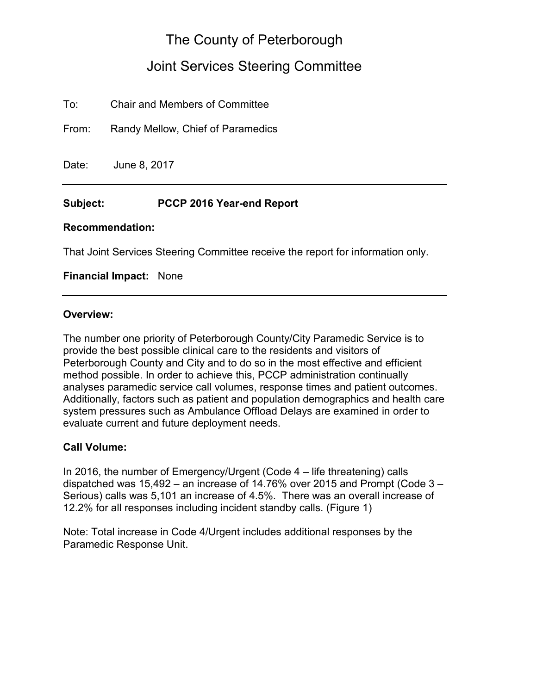# The County of Peterborough

# Joint Services Steering Committee

To: Chair and Members of Committee

From: Randy Mellow, Chief of Paramedics

Date: June 8, 2017

#### **Subject: PCCP 2016 Year-end Report**

#### **Recommendation:**

That Joint Services Steering Committee receive the report for information only.

#### **Financial Impact:** None

#### **Overview:**

The number one priority of Peterborough County/City Paramedic Service is to provide the best possible clinical care to the residents and visitors of Peterborough County and City and to do so in the most effective and efficient method possible. In order to achieve this, PCCP administration continually analyses paramedic service call volumes, response times and patient outcomes. Additionally, factors such as patient and population demographics and health care system pressures such as Ambulance Offload Delays are examined in order to evaluate current and future deployment needs.

#### **Call Volume:**

In 2016, the number of Emergency/Urgent (Code 4 – life threatening) calls dispatched was 15,492 – an increase of 14.76% over 2015 and Prompt (Code 3 – Serious) calls was 5,101 an increase of 4.5%. There was an overall increase of 12.2% for all responses including incident standby calls. (Figure 1)

Note: Total increase in Code 4/Urgent includes additional responses by the Paramedic Response Unit.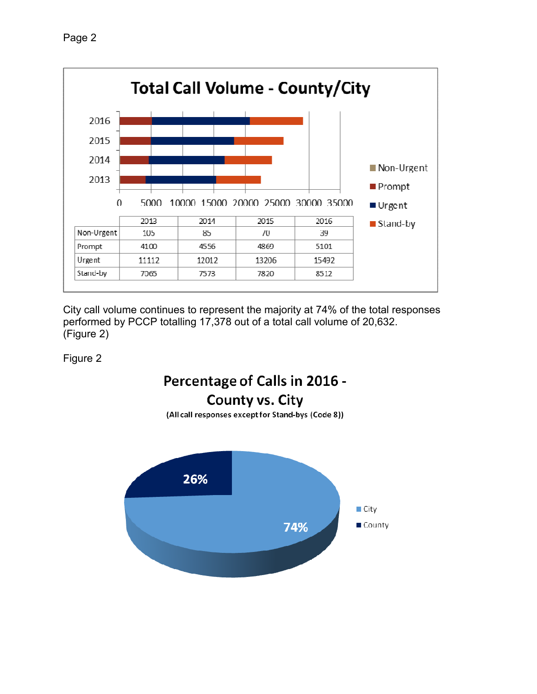

City call volume continues to represent the majority at 74% of the total responses performed by PCCP totalling 17,378 out of a total call volume of 20,632. (Figure 2)

Figure 2

# Percentage of Calls in 2016 -County vs. City



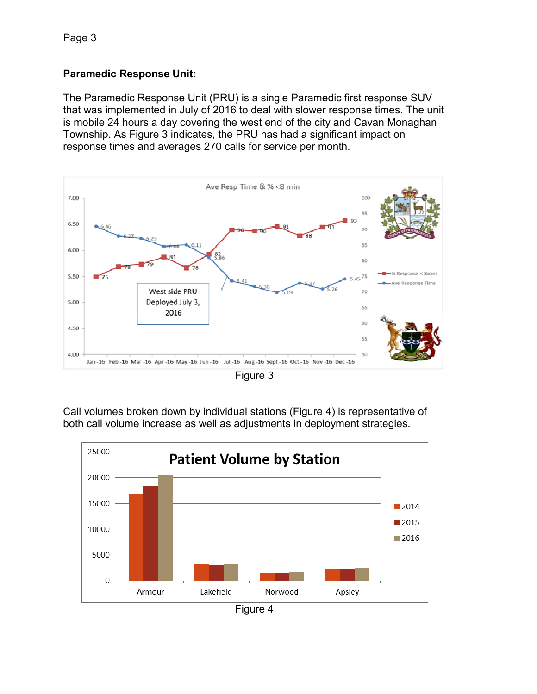### **Paramedic Response Unit:**

The Paramedic Response Unit (PRU) is a single Paramedic first response SUV that was implemented in July of 2016 to deal with slower response times. The unit is mobile 24 hours a day covering the west end of the city and Cavan Monaghan Township. As Figure 3 indicates, the PRU has had a significant impact on response times and averages 270 calls for service per month.



Figure 3

Call volumes broken down by individual stations (Figure 4) is representative of both call volume increase as well as adjustments in deployment strategies.



Figure 4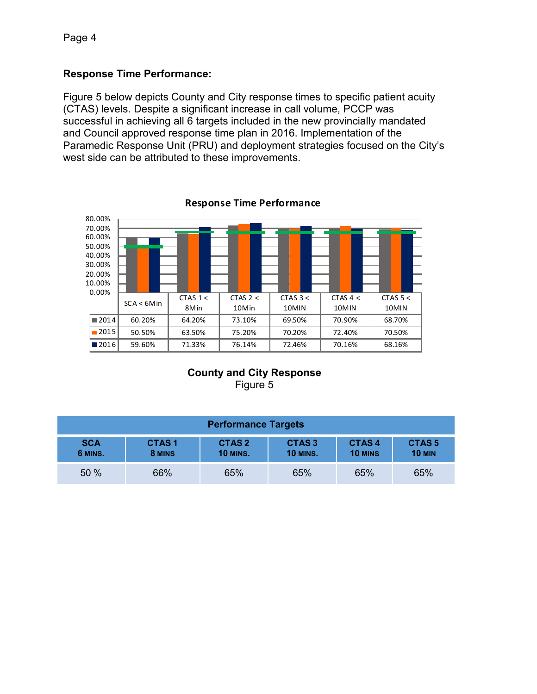#### **Response Time Performance:**

Figure 5 below depicts County and City response times to specific patient acuity (CTAS) levels. Despite a significant increase in call volume, PCCP was successful in achieving all 6 targets included in the new provincially mandated and Council approved response time plan in 2016. Implementation of the Paramedic Response Unit (PRU) and deployment strategies focused on the City's west side can be attributed to these improvements.



**Response Time Performance**

# **County and City Response**

Figure 5

| <b>Performance Targets</b> |                        |                                      |                                      |                         |                               |
|----------------------------|------------------------|--------------------------------------|--------------------------------------|-------------------------|-------------------------------|
| <b>SCA</b><br>6 MINS.      | <b>CTAS1</b><br>8 MINS | CTAS <sub>2</sub><br><b>10 MINS.</b> | CTAS <sub>3</sub><br><b>10 MINS.</b> | CTAS4<br><b>10 MINS</b> | <b>CTAS5</b><br><b>10 MIN</b> |
| 50 %                       | 66%                    | 65%                                  | 65%                                  | 65%                     | 65%                           |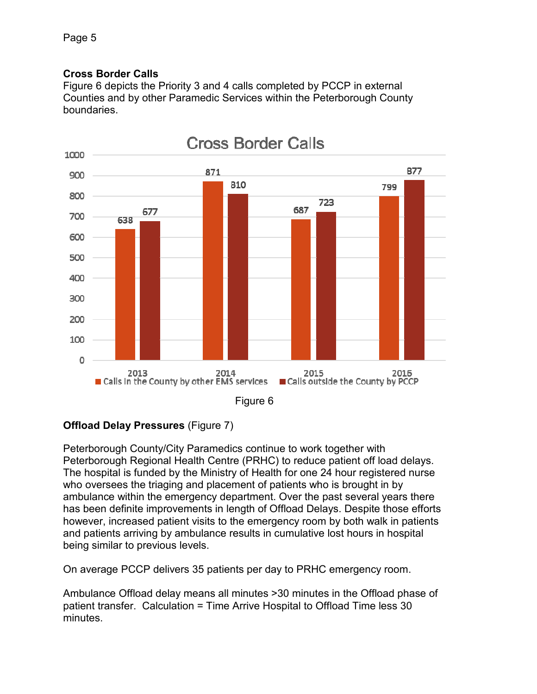### **Cross Border Calls**

Figure 6 depicts the Priority 3 and 4 calls completed by PCCP in external Counties and by other Paramedic Services within the Peterborough County boundaries.



#### **Offload Delay Pressures** (Figure 7)

Peterborough County/City Paramedics continue to work together with Peterborough Regional Health Centre (PRHC) to reduce patient off load delays. The hospital is funded by the Ministry of Health for one 24 hour registered nurse who oversees the triaging and placement of patients who is brought in by ambulance within the emergency department. Over the past several years there has been definite improvements in length of Offload Delays. Despite those efforts however, increased patient visits to the emergency room by both walk in patients and patients arriving by ambulance results in cumulative lost hours in hospital being similar to previous levels.

On average PCCP delivers 35 patients per day to PRHC emergency room.

Ambulance Offload delay means all minutes >30 minutes in the Offload phase of patient transfer. Calculation = Time Arrive Hospital to Offload Time less 30 minutes.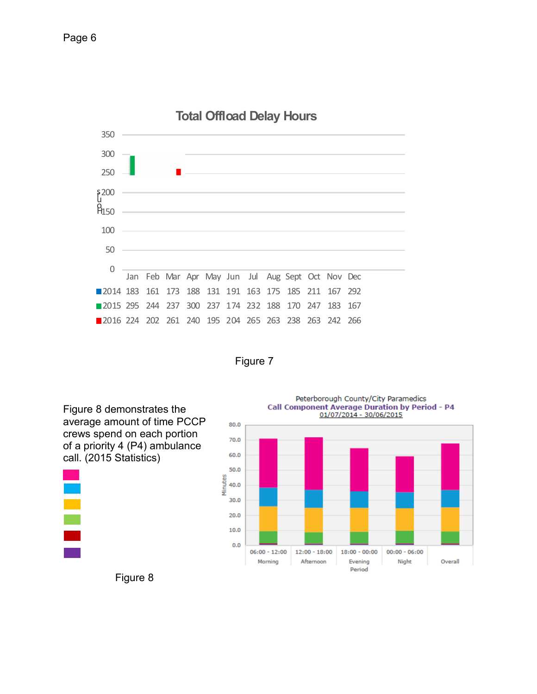





Figure 8 demonstrates the average amount of time PCCP crews spend on each portion of a priority 4 (P4) ambulance call. (2015 Statistics)

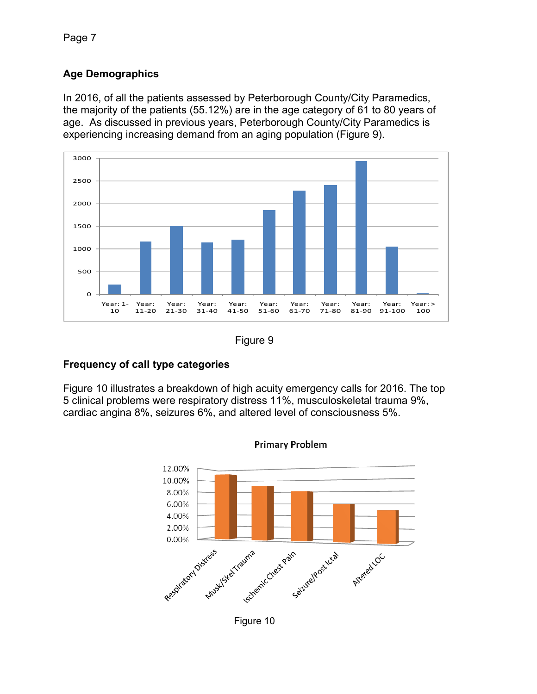Page 7

# **Age Demographics**

In 2016, of all the patients assessed by Peterborough County/City Paramedics, the majority of the patients (55.12%) are in the age category of 61 to 80 years of age. As discussed in previous years, Peterborough County/City Paramedics is experiencing increasing demand from an aging population (Figure 9).





# **Frequency of call type categories**

Figure 10 illustrates a breakdown of high acuity emergency calls for 2016. The top 5 clinical problems were respiratory distress 11%, musculoskeletal trauma 9%, cardiac angina 8%, seizures 6%, and altered level of consciousness 5%.



Figure 10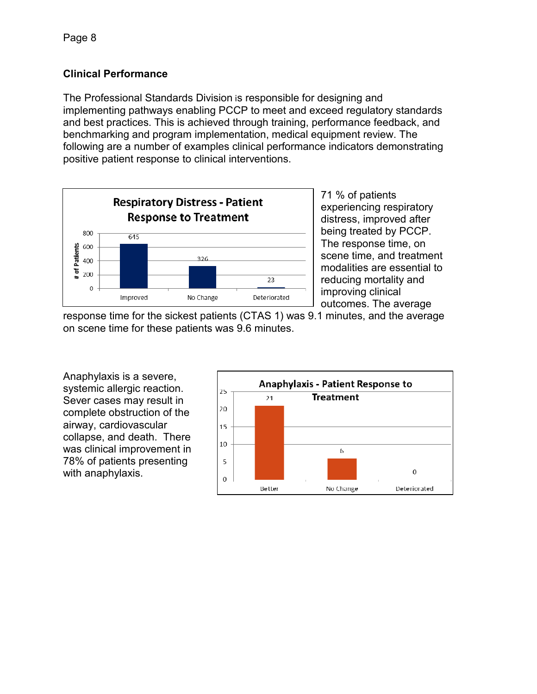# **Clinical Performance**

The Professional Standards Division is responsible for designing and implementing pathways enabling PCCP to meet and exceed regulatory standards and best practices. This is achieved through training, performance feedback, and benchmarking and program implementation, medical equipment review. The following are a number of examples clinical performance indicators demonstrating positive patient response to clinical interventions.



71 % of patients experiencing respiratory distress, improved after being treated by PCCP. The response time, on scene time, and treatment modalities are essential to reducing mortality and improving clinical outcomes. The average

response time for the sickest patients (CTAS 1) was 9.1 minutes, and the average on scene time for these patients was 9.6 minutes.

Anaphylaxis is a severe, systemic allergic reaction. Sever cases may result in complete obstruction of the airway, cardiovascular collapse, and death. There was clinical improvement in 78% of patients presenting with anaphylaxis.